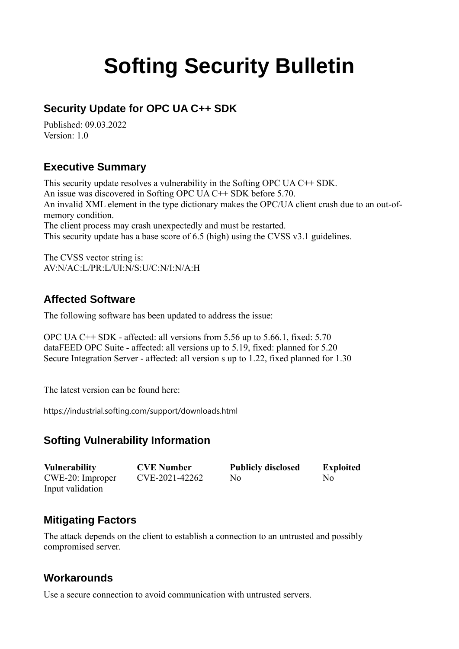# **Softing Security Bulletin**

# **Security Update for OPC UA C++ SDK**

Published: 09.03.2022 Version: 1.0

## **Executive Summary**

This security update resolves a vulnerability in the Softing OPC UA C++ SDK. An issue was discovered in Softing OPC UA C++ SDK before 5.70. An invalid XML element in the type dictionary makes the OPC/UA client crash due to an out-ofmemory condition. The client process may crash unexpectedly and must be restarted. This security update has a base score of 6.5 (high) using the CVSS v3.1 guidelines.

The CVSS vector string is: AV:N/AC:L/PR:L/UI:N/S:U/C:N/I:N/A:H

## **Affected Software**

The following software has been updated to address the issue:

OPC UA C++ SDK - affected: all versions from 5.56 up to 5.66.1, fixed: 5.70 dataFEED OPC Suite - affected: all versions up to 5.19, fixed: planned for 5.20 Secure Integration Server - affected: all version s up to 1.22, fixed planned for 1.30

The latest version can be found here:

[https://industrial.softing.com/support/downloads.html](https://industrial.softing.com/de/produkte/opc-ua-und-opc-classic-sdks/opc-ua-c-sdks-fuer-windows.html)

#### **Softing Vulnerability Information**

| <b>Vulnerability</b> | <b>CVE Number</b> | <b>Publicly disclosed</b> | <b>Exploited</b> |
|----------------------|-------------------|---------------------------|------------------|
| $CWE-20$ : Improper  | CVE-2021-42262    | No                        | No.              |
| Input validation     |                   |                           |                  |

# **Mitigating Factors**

The attack depends on the client to establish a connection to an untrusted and possibly compromised server.

#### **Workarounds**

Use a secure connection to avoid communication with untrusted servers.